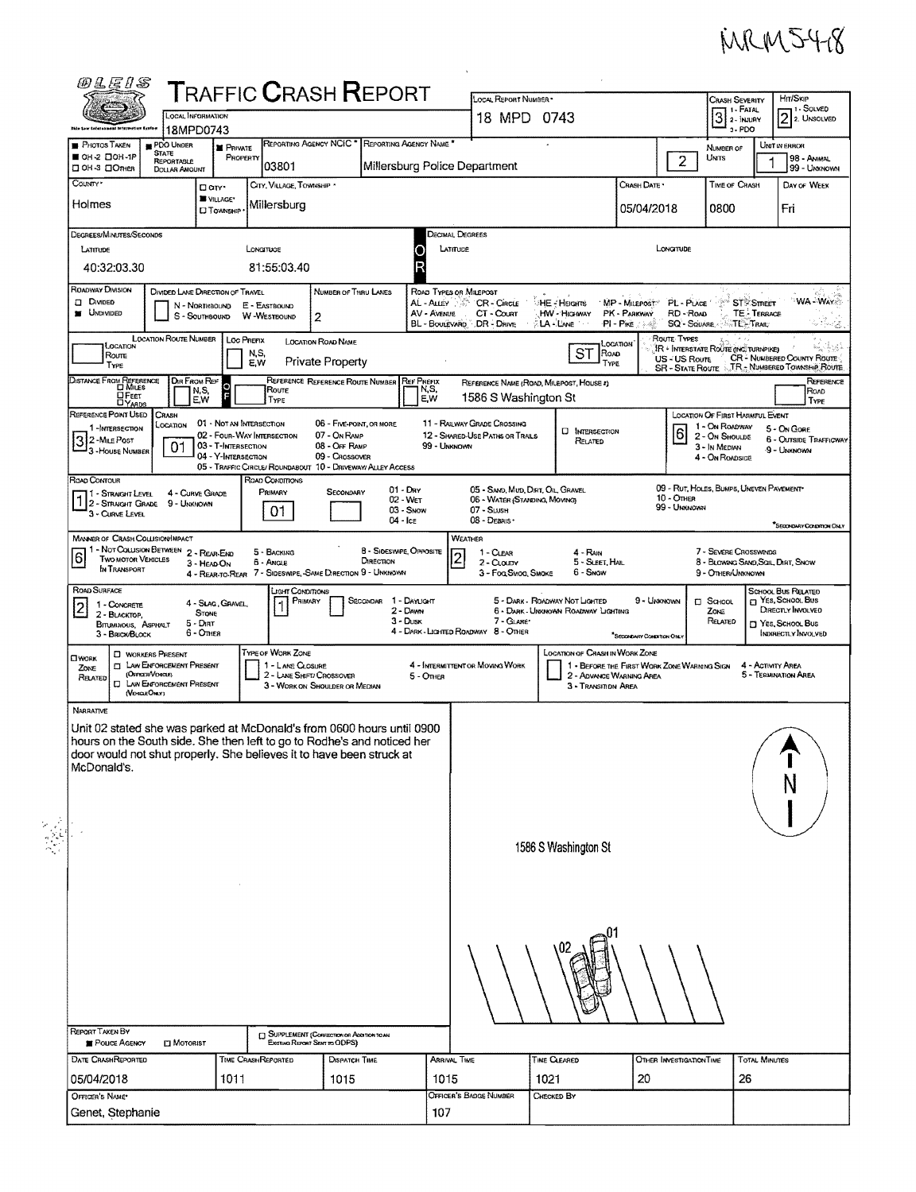

|                                                                                                        | <i>®LE!\$</i>                                                                                                                                                                                                                                                                                                            |                                             |                                            |                              |                                                                                |                                          |                                                 |                       |                                                                                                                                                                                                 |                                                                                                                      |                          |                                       |                                                                                                                                                                        |                                           |                                         |  |  |
|--------------------------------------------------------------------------------------------------------|--------------------------------------------------------------------------------------------------------------------------------------------------------------------------------------------------------------------------------------------------------------------------------------------------------------------------|---------------------------------------------|--------------------------------------------|------------------------------|--------------------------------------------------------------------------------|------------------------------------------|-------------------------------------------------|-----------------------|-------------------------------------------------------------------------------------------------------------------------------------------------------------------------------------------------|----------------------------------------------------------------------------------------------------------------------|--------------------------|---------------------------------------|------------------------------------------------------------------------------------------------------------------------------------------------------------------------|-------------------------------------------|-----------------------------------------|--|--|
|                                                                                                        | <b>T</b> RAFFIC <b>C</b> RASH <b>R</b> EPORT<br>LOCAL INFORMATION                                                                                                                                                                                                                                                        |                                             |                                            |                              |                                                                                |                                          |                                                 | LOCAL REPORT NUMBER * |                                                                                                                                                                                                 |                                                                                                                      |                          |                                       | <b>CRASH SEVERITY</b><br>1 I - FATAL                                                                                                                                   | Hm/Skip<br>11 - Solved<br>$2$ 2. UNSOLVED |                                         |  |  |
|                                                                                                        | 18MPD0743<br>This taw Inistances totalweiten Egylve                                                                                                                                                                                                                                                                      |                                             |                                            |                              |                                                                                |                                          |                                                 | 18 MPD 0743           |                                                                                                                                                                                                 |                                                                                                                      |                          |                                       | $3$ $\overline{\phantom{a}}$ $\overline{\phantom{a}}$ $\overline{\phantom{a}}$ $\overline{\phantom{a}}$ $\overline{\phantom{a}}$ $\overline{\phantom{a}}$<br>$3 - PDO$ |                                           |                                         |  |  |
|                                                                                                        | <b>PHOTOS TAKEN</b><br>OH-2 DOH-1P                                                                                                                                                                                                                                                                                       | PDO UNDER<br><b>STATE</b>                   |                                            | <b>E</b> PRIVATE<br>PROPERTY |                                                                                |                                          | REPORTING AGENCY NCIC * REPORTING AGENCY NAME * |                       |                                                                                                                                                                                                 |                                                                                                                      |                          |                                       | NUMBER OF<br><b>UMTS</b>                                                                                                                                               |                                           | UNIT IN ERROR<br>98 - Animal            |  |  |
|                                                                                                        | □ ОН-3 □ Олнев                                                                                                                                                                                                                                                                                                           | REPORTABLE<br>DOLLAR AMOUNT                 |                                            |                              | 03801                                                                          |                                          |                                                 |                       | Millersburg Police Department                                                                                                                                                                   |                                                                                                                      |                          | $2^{\circ}$                           |                                                                                                                                                                        |                                           | 99 - UNKNOWN                            |  |  |
| COUNTY*                                                                                                |                                                                                                                                                                                                                                                                                                                          |                                             | Dow-                                       |                              | CITY, VILLAGE, TOWNSHIP *                                                      |                                          |                                                 |                       |                                                                                                                                                                                                 |                                                                                                                      | Crash Date *             |                                       | TIME OF CRASH                                                                                                                                                          |                                           | DAY OF WEEK                             |  |  |
| Holmes                                                                                                 |                                                                                                                                                                                                                                                                                                                          |                                             | WILLAGE*<br><b>D</b> Township              |                              | Millersburg                                                                    |                                          |                                                 |                       |                                                                                                                                                                                                 |                                                                                                                      | 05/04/2018               |                                       | 0800                                                                                                                                                                   |                                           | Fri                                     |  |  |
|                                                                                                        | <b>DECIMAL DEGREES</b><br>DEGREES/MINUTES/SECONDS                                                                                                                                                                                                                                                                        |                                             |                                            |                              |                                                                                |                                          |                                                 |                       |                                                                                                                                                                                                 |                                                                                                                      |                          |                                       |                                                                                                                                                                        |                                           |                                         |  |  |
|                                                                                                        | LATITUDE<br>LONGITUOE                                                                                                                                                                                                                                                                                                    |                                             |                                            |                              |                                                                                |                                          |                                                 |                       | LATITUDE                                                                                                                                                                                        |                                                                                                                      |                          | LONGTUDE                              |                                                                                                                                                                        |                                           |                                         |  |  |
|                                                                                                        | 40:32:03.30<br>81:55:03.40                                                                                                                                                                                                                                                                                               |                                             |                                            |                              |                                                                                |                                          |                                                 |                       |                                                                                                                                                                                                 |                                                                                                                      |                          |                                       |                                                                                                                                                                        |                                           |                                         |  |  |
| ROADWAY DIVISION<br>DIVIDED LANE DIRECTION OF TRAVEL<br>NUMBER OF THRU LANES<br>ROAD TYPES OR MILEPOST |                                                                                                                                                                                                                                                                                                                          |                                             |                                            |                              |                                                                                |                                          |                                                 |                       |                                                                                                                                                                                                 |                                                                                                                      |                          |                                       |                                                                                                                                                                        |                                           |                                         |  |  |
|                                                                                                        | <b>ST</b> <sup>2</sup> STREET<br><b>DI DIVIDED</b><br>AL - ALLEY<br>MP - MILEPOST®<br>CR - Cincus<br>ं HE - Heighns<br>PL - PLACE<br>N - NORTHBOUND<br>E - EASTBOUND<br><b>UNDIVIDED</b><br>CT - Count<br>HW - Highway<br>PK - PARKWAY<br>RD - RoAD<br>TE - TERRACE<br>AV - AVENUE<br>S - SOUTHBOUND<br>W-WESTBOUND<br>2 |                                             |                                            |                              |                                                                                |                                          |                                                 |                       |                                                                                                                                                                                                 |                                                                                                                      |                          | WA - Wars                             |                                                                                                                                                                        |                                           |                                         |  |  |
|                                                                                                        | BL - BOULEVARD DR - DRIVE<br><b>LA</b> - Lwe<br>$P1 - P$ ike<br><b>SQ - SQUARE</b><br>TL-TRAIL<br><b>LOCATION ROUTE NUMBER</b><br>ROUTE TYPES                                                                                                                                                                            |                                             |                                            |                              |                                                                                |                                          |                                                 |                       |                                                                                                                                                                                                 |                                                                                                                      |                          | ೆ ಗಳಿವು                               |                                                                                                                                                                        |                                           |                                         |  |  |
| <b>LOC PREFIX</b><br><b>LOCATION ROAD NAME</b><br>Location<br>N,S,<br>Route                            |                                                                                                                                                                                                                                                                                                                          |                                             |                                            |                              |                                                                                |                                          |                                                 |                       | <b>ST</b><br>Road                                                                                                                                                                               | LOCATION                                                                                                             | US - US Route            | IR + INTERSTATE ROUTE (INC. TURNPIKE) |                                                                                                                                                                        | CR - NUMBERED COUNTY ROUTE                |                                         |  |  |
|                                                                                                        | TYPE                                                                                                                                                                                                                                                                                                                     |                                             | DIR FROM REF                               |                              | E.W                                                                            | Private Property                         | REFERENCE REFERENCE ROUTE NUMBER REF PREFIX     |                       |                                                                                                                                                                                                 | TYPE                                                                                                                 |                          | <b>SR - STATE ROUTE</b>               |                                                                                                                                                                        |                                           | TR - NUMBERED TOWNSHIP ROUTE            |  |  |
|                                                                                                        | DISTANCE FROM REFERENCE<br><b>OFEET</b>                                                                                                                                                                                                                                                                                  |                                             | $\circ$<br>N,S,<br>E,W                     |                              | Route<br>TYPE                                                                  |                                          |                                                 | N,S,<br>EW            | 1586 S Washington St                                                                                                                                                                            | REFERENCE NAME (ROAD, MILEPOST, HOUSE #)                                                                             |                          |                                       |                                                                                                                                                                        |                                           | REFERENCE<br>ROAD<br>TYPE               |  |  |
|                                                                                                        | <b>DYARDS</b><br>REFERENCE POINT USED                                                                                                                                                                                                                                                                                    | <b>CRASH</b>                                |                                            |                              |                                                                                |                                          |                                                 |                       |                                                                                                                                                                                                 |                                                                                                                      |                          |                                       | <b>LOCATION OF FIRST HARMFUL EVENT</b>                                                                                                                                 |                                           |                                         |  |  |
|                                                                                                        | 1-INTERSECTION<br>32-MILE POST                                                                                                                                                                                                                                                                                           | LOCATION                                    | 01 - NOT AN INTERSECTION                   |                              | 02 - FOUR-WAY INTERSECTION                                                     | 06 - FIVE-POINT, OR MORE<br>07 - On RAMP |                                                 |                       | 11 - RAILWAY GRADE CROSSING<br>12 - SHARED-USE PATHS OR TRAILS                                                                                                                                  | <b>U</b> INTERSECTION<br>RELATED                                                                                     |                          | 6                                     | 1 - On ROADWAY<br>2 - On Shoulde                                                                                                                                       |                                           | 5 - On Gone<br>6 - OUTSIDE TRAFFICWAY   |  |  |
|                                                                                                        | - 3 - House Number                                                                                                                                                                                                                                                                                                       | 01                                          | 03 - T-INTERSECTION<br>04 - Y-INTERSECTION |                              |                                                                                | 08 - OFF RAMP<br>09 - Crossover          |                                                 | 99 - UNKNOWN          |                                                                                                                                                                                                 |                                                                                                                      |                          | 3 - In Median<br>4 - On ROADSIDE      |                                                                                                                                                                        | 9 - Unknown                               |                                         |  |  |
| ROAD CONTOUR                                                                                           |                                                                                                                                                                                                                                                                                                                          |                                             |                                            |                              | 05 - TRAFFIC CIRCLE/ ROUNDABOUT 10 - DRIVEWAY/ ALLEY ACCESS<br>ROAD CONDITIONS |                                          |                                                 |                       |                                                                                                                                                                                                 |                                                                                                                      |                          |                                       |                                                                                                                                                                        |                                           |                                         |  |  |
|                                                                                                        | 1 - Straight Level                                                                                                                                                                                                                                                                                                       |                                             | 4 - CURVE GRADE                            |                              | PRIMARY                                                                        | SECONDARY                                | $01 - Draw$<br>02 - WET                         |                       | 09 - RUT, HOLES, BUMPS, UNEVEN PAVEMENT*<br>05 - SAND, MUD, DIRT, OIL, GRAVEL<br>$10 -$ Omer<br>06 - WATER (STANDING, MOVING)                                                                   |                                                                                                                      |                          |                                       |                                                                                                                                                                        |                                           |                                         |  |  |
|                                                                                                        | 2 - STRAIGHT GRADE<br>3 - Curve Level                                                                                                                                                                                                                                                                                    | 9 - Unknown                                 |                                            |                              | 01                                                                             |                                          | 03 Snow<br>$04 -$ Ice                           |                       | $07 -$ SLUSH<br>08 - Deanis -                                                                                                                                                                   |                                                                                                                      | 99 - Unaurown            |                                       |                                                                                                                                                                        |                                           |                                         |  |  |
|                                                                                                        |                                                                                                                                                                                                                                                                                                                          | <b>MANNER OF CRASH COLLISION/IMPACT</b>     |                                            |                              |                                                                                |                                          |                                                 |                       | WEATHER                                                                                                                                                                                         |                                                                                                                      |                          |                                       |                                                                                                                                                                        |                                           | <b>SECONDARY CONDITION ONLY</b>         |  |  |
| 6                                                                                                      | <b>Two MOTOR VEHICLES</b>                                                                                                                                                                                                                                                                                                | 1 - Not Collision Between 2 - Rear-End      |                                            |                              | 5 - BACKING                                                                    |                                          | 8 - Sideswipe, Opposite<br>DIRECTION            |                       | 7 - SEVERE CROSSWINDS<br>1 - CLEAR<br>4 - RAIN<br>$\overline{c}$<br>5 - SLEET, HAIL<br>2 - CLOUDY<br>8 - BLOWING SAND, SOIL, DIRT, SNOW<br>6 - Snow<br>3 - Fog Smog, Smoke<br>9 - OTHER/UNKNOWN |                                                                                                                      |                          |                                       |                                                                                                                                                                        |                                           |                                         |  |  |
|                                                                                                        | IN TRANSPORT                                                                                                                                                                                                                                                                                                             |                                             | 3 - HEAD-ON                                |                              | 6 - Angle<br>4 - REAR-TO-REAR 7 - SIDESWIPE, SAME DIRECTION 9 - UNKNOWN        |                                          |                                                 |                       |                                                                                                                                                                                                 |                                                                                                                      |                          |                                       |                                                                                                                                                                        |                                           |                                         |  |  |
| ROAD SURFACE                                                                                           |                                                                                                                                                                                                                                                                                                                          |                                             |                                            |                              | цент Сомоглома                                                                 |                                          |                                                 |                       |                                                                                                                                                                                                 | 5 - DARK - ROADWAY NOT LIGHTED                                                                                       | 9 - UNKNOWN              |                                       | <b>El School</b>                                                                                                                                                       |                                           | SCHOOL BUS RELATED<br>T YES, SCHOOL BUS |  |  |
|                                                                                                        | PRIMARY<br>SECONDAR 1 DAYLIGHT<br>4 - Slag, Gravel,<br>1 - CONCRETE<br>りつ<br>2 - DAWN<br><b>STONE</b><br>2 - BLACKTOP,                                                                                                                                                                                                   |                                             |                                            |                              |                                                                                |                                          |                                                 | $3 - D$ USK           | 6 - DARK - UNKNOWN ROADWAY LIGHTING<br>ZONE<br>7 - GLARE<br>RELATED<br>T YES, SCHOOL BUS                                                                                                        |                                                                                                                      |                          |                                       |                                                                                                                                                                        |                                           | DIRECTLY INVOLVED                       |  |  |
|                                                                                                        | BITUMINOUS, ASPHALT<br>3 - BRICK/BLOCK                                                                                                                                                                                                                                                                                   |                                             | $5 - Diff$<br>6 - Onier                    |                              |                                                                                |                                          |                                                 |                       | 4 - DARK - LIGHTED ROADWAY 8 - OTHER                                                                                                                                                            |                                                                                                                      |                          | SECONDARY CONDITION ONLY              |                                                                                                                                                                        |                                           | INDIRECTLY INVOLVED                     |  |  |
| OWORK                                                                                                  | <b>TYPE OF WORK ZONE</b><br><b>U</b> WORKERS PRESENT<br><b>CI LAW ENFORCEMENT PRESENT</b>                                                                                                                                                                                                                                |                                             |                                            |                              |                                                                                |                                          |                                                 |                       | LOCATION OF CRASH IN WORK ZONE                                                                                                                                                                  |                                                                                                                      |                          |                                       |                                                                                                                                                                        |                                           |                                         |  |  |
| Zone<br>RELATED                                                                                        | O                                                                                                                                                                                                                                                                                                                        | (OFFICER/VENCEE)<br>LAW ENFORCEMENT PRESENT |                                            |                              | 1 - LANE CLOSURE                                                               | 2 - LANE SHIFT/ CROSSOVER                |                                                 | 5 - Other             | 4 - INTERMITTENT OR MOVING WORK                                                                                                                                                                 | 1 - BEFORE THE FIRST WORK ZONE WARMING SIGN<br>4 - ACTIVITY AREA<br>5 - TERMINATION AREA<br>2 - ADVANCE WARNING AREA |                          |                                       |                                                                                                                                                                        |                                           |                                         |  |  |
|                                                                                                        | (VEHOLE ONLY)                                                                                                                                                                                                                                                                                                            |                                             |                                            |                              |                                                                                | 3 - WORK ON SHOULDER OR MEDIAN           |                                                 |                       | 3 - Transition Area                                                                                                                                                                             |                                                                                                                      |                          |                                       |                                                                                                                                                                        |                                           |                                         |  |  |
| <b>NARRATIVE</b>                                                                                       | Unit 02 stated she was parked at McDonald's from 0600 hours until 0900                                                                                                                                                                                                                                                   |                                             |                                            |                              |                                                                                |                                          |                                                 |                       |                                                                                                                                                                                                 |                                                                                                                      |                          |                                       |                                                                                                                                                                        |                                           |                                         |  |  |
|                                                                                                        |                                                                                                                                                                                                                                                                                                                          |                                             |                                            |                              | hours on the South side. She then left to go to Rodhe's and noticed her        |                                          |                                                 |                       |                                                                                                                                                                                                 |                                                                                                                      |                          |                                       |                                                                                                                                                                        |                                           |                                         |  |  |
|                                                                                                        |                                                                                                                                                                                                                                                                                                                          |                                             |                                            |                              | door would not shut properly. She believes it to have been struck at           |                                          |                                                 |                       |                                                                                                                                                                                                 |                                                                                                                      |                          |                                       |                                                                                                                                                                        |                                           |                                         |  |  |
|                                                                                                        | McDonald's.                                                                                                                                                                                                                                                                                                              |                                             |                                            |                              |                                                                                |                                          |                                                 |                       |                                                                                                                                                                                                 |                                                                                                                      |                          |                                       |                                                                                                                                                                        |                                           |                                         |  |  |
|                                                                                                        |                                                                                                                                                                                                                                                                                                                          |                                             |                                            |                              |                                                                                |                                          |                                                 |                       |                                                                                                                                                                                                 |                                                                                                                      |                          |                                       |                                                                                                                                                                        |                                           | N                                       |  |  |
|                                                                                                        |                                                                                                                                                                                                                                                                                                                          |                                             |                                            |                              |                                                                                |                                          |                                                 |                       |                                                                                                                                                                                                 |                                                                                                                      |                          |                                       |                                                                                                                                                                        |                                           |                                         |  |  |
|                                                                                                        |                                                                                                                                                                                                                                                                                                                          |                                             |                                            |                              |                                                                                |                                          |                                                 |                       |                                                                                                                                                                                                 |                                                                                                                      |                          |                                       |                                                                                                                                                                        |                                           |                                         |  |  |
| 1586 S Washington St                                                                                   |                                                                                                                                                                                                                                                                                                                          |                                             |                                            |                              |                                                                                |                                          |                                                 |                       |                                                                                                                                                                                                 |                                                                                                                      |                          |                                       |                                                                                                                                                                        |                                           |                                         |  |  |
|                                                                                                        |                                                                                                                                                                                                                                                                                                                          |                                             |                                            |                              |                                                                                |                                          |                                                 |                       |                                                                                                                                                                                                 |                                                                                                                      |                          |                                       |                                                                                                                                                                        |                                           |                                         |  |  |
|                                                                                                        |                                                                                                                                                                                                                                                                                                                          |                                             |                                            |                              |                                                                                |                                          |                                                 |                       |                                                                                                                                                                                                 |                                                                                                                      |                          |                                       |                                                                                                                                                                        |                                           |                                         |  |  |
|                                                                                                        |                                                                                                                                                                                                                                                                                                                          |                                             |                                            |                              |                                                                                |                                          |                                                 |                       |                                                                                                                                                                                                 |                                                                                                                      |                          |                                       |                                                                                                                                                                        |                                           |                                         |  |  |
|                                                                                                        |                                                                                                                                                                                                                                                                                                                          |                                             |                                            |                              |                                                                                |                                          |                                                 |                       |                                                                                                                                                                                                 |                                                                                                                      |                          |                                       |                                                                                                                                                                        |                                           |                                         |  |  |
|                                                                                                        |                                                                                                                                                                                                                                                                                                                          |                                             |                                            |                              |                                                                                |                                          |                                                 |                       |                                                                                                                                                                                                 |                                                                                                                      |                          |                                       |                                                                                                                                                                        |                                           |                                         |  |  |
|                                                                                                        |                                                                                                                                                                                                                                                                                                                          |                                             |                                            |                              |                                                                                |                                          |                                                 |                       |                                                                                                                                                                                                 |                                                                                                                      |                          |                                       |                                                                                                                                                                        |                                           |                                         |  |  |
|                                                                                                        |                                                                                                                                                                                                                                                                                                                          |                                             |                                            |                              |                                                                                |                                          |                                                 |                       |                                                                                                                                                                                                 |                                                                                                                      |                          |                                       |                                                                                                                                                                        |                                           |                                         |  |  |
|                                                                                                        |                                                                                                                                                                                                                                                                                                                          |                                             |                                            |                              |                                                                                |                                          |                                                 |                       |                                                                                                                                                                                                 |                                                                                                                      |                          |                                       |                                                                                                                                                                        |                                           |                                         |  |  |
| <b>REPORT TAKEN BY</b>                                                                                 | POLICE AGENCY                                                                                                                                                                                                                                                                                                            | <b>DI</b> MOTORIST                          |                                            |                              | <b>J</b> SUPPLEMENT (CORRECTION OR AGGITON TO AN                               | Exestivo Report Sent to ODPS)            |                                                 |                       |                                                                                                                                                                                                 |                                                                                                                      |                          |                                       |                                                                                                                                                                        |                                           |                                         |  |  |
|                                                                                                        | DATE CRASHREPORTED                                                                                                                                                                                                                                                                                                       |                                             |                                            |                              | TIME CRASHREPORTED                                                             | DISPATCH TIME                            |                                                 |                       | ARRIVAL TIME                                                                                                                                                                                    | TIME CLEARED                                                                                                         | OTHER INVESTIGATION TIME |                                       | <b>TOTAL MINUTES</b>                                                                                                                                                   |                                           |                                         |  |  |
| 05/04/2018                                                                                             |                                                                                                                                                                                                                                                                                                                          |                                             |                                            | 1011                         |                                                                                | 1015                                     |                                                 | 1015                  |                                                                                                                                                                                                 | 1021                                                                                                                 | 20                       |                                       |                                                                                                                                                                        |                                           |                                         |  |  |
|                                                                                                        | OFFICER'S NAME*                                                                                                                                                                                                                                                                                                          |                                             |                                            |                              |                                                                                |                                          |                                                 |                       | OFFICER'S BADGE NUMBER                                                                                                                                                                          | CHECKED BY                                                                                                           |                          |                                       |                                                                                                                                                                        | 26                                        |                                         |  |  |
|                                                                                                        | Genet, Stephanie                                                                                                                                                                                                                                                                                                         |                                             |                                            |                              |                                                                                |                                          |                                                 | 107                   |                                                                                                                                                                                                 |                                                                                                                      |                          |                                       |                                                                                                                                                                        |                                           |                                         |  |  |
|                                                                                                        |                                                                                                                                                                                                                                                                                                                          |                                             |                                            |                              |                                                                                |                                          |                                                 |                       |                                                                                                                                                                                                 |                                                                                                                      |                          |                                       |                                                                                                                                                                        |                                           |                                         |  |  |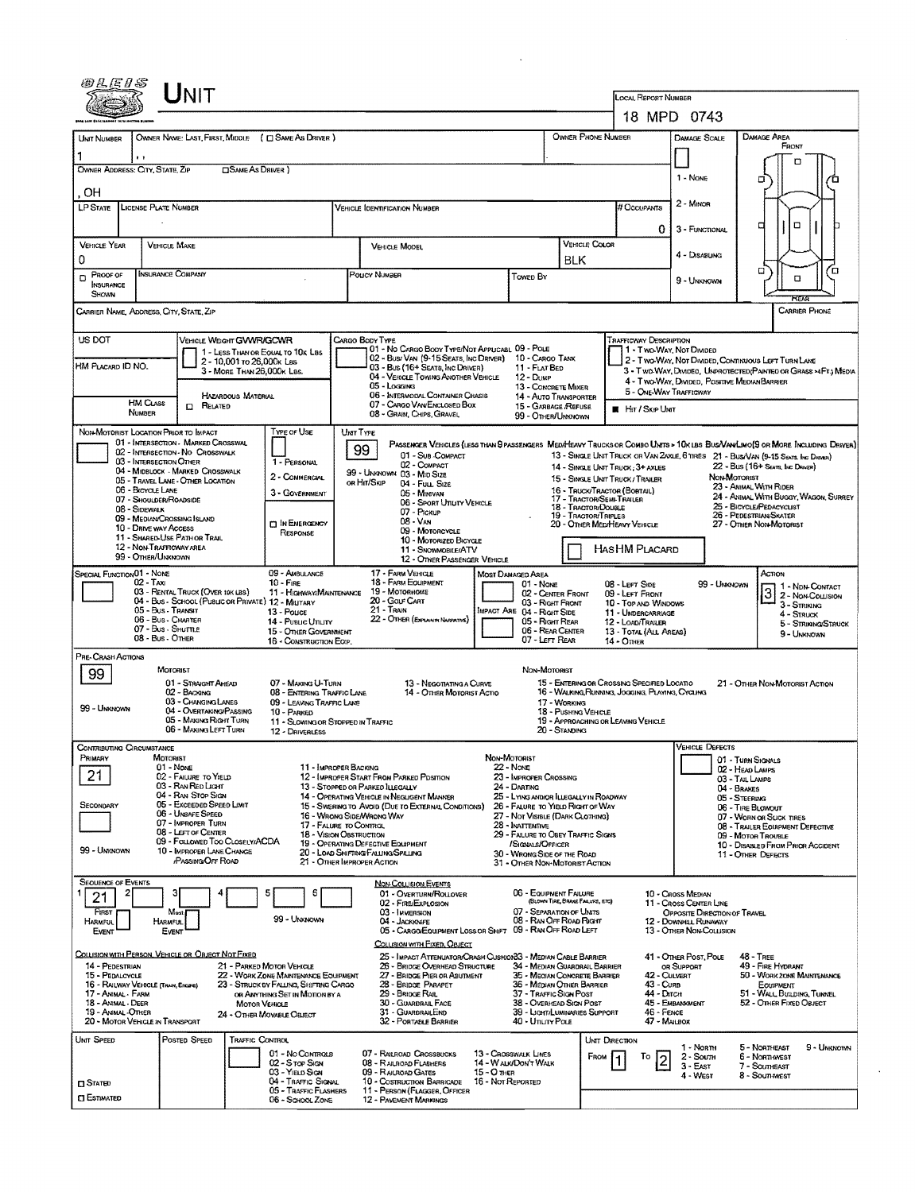| 02.EIS                                                                                                                                                                                                                                                                                                                                                                                                                          |                                                             |                                                                                                                                          |                                                                                                                     |                                                                                                                                                                                                  |                                                                                                                                                                                                                                                                                                                                                                                                                                                                                                                                                                                                                                                                                                                                                                                                                                                                                            |                                                                                                          |                                                                                                                                                                                                                                                                    |                                                         |                                                                                                                                                                                                                                                                                                               |                                                                                                                 |                                                               |                                                                                                                                                                                                                                                                                         |                                                                                                                                                                                                                                |  |                                                                                                                                           |  |
|---------------------------------------------------------------------------------------------------------------------------------------------------------------------------------------------------------------------------------------------------------------------------------------------------------------------------------------------------------------------------------------------------------------------------------|-------------------------------------------------------------|------------------------------------------------------------------------------------------------------------------------------------------|---------------------------------------------------------------------------------------------------------------------|--------------------------------------------------------------------------------------------------------------------------------------------------------------------------------------------------|--------------------------------------------------------------------------------------------------------------------------------------------------------------------------------------------------------------------------------------------------------------------------------------------------------------------------------------------------------------------------------------------------------------------------------------------------------------------------------------------------------------------------------------------------------------------------------------------------------------------------------------------------------------------------------------------------------------------------------------------------------------------------------------------------------------------------------------------------------------------------------------------|----------------------------------------------------------------------------------------------------------|--------------------------------------------------------------------------------------------------------------------------------------------------------------------------------------------------------------------------------------------------------------------|---------------------------------------------------------|---------------------------------------------------------------------------------------------------------------------------------------------------------------------------------------------------------------------------------------------------------------------------------------------------------------|-----------------------------------------------------------------------------------------------------------------|---------------------------------------------------------------|-----------------------------------------------------------------------------------------------------------------------------------------------------------------------------------------------------------------------------------------------------------------------------------------|--------------------------------------------------------------------------------------------------------------------------------------------------------------------------------------------------------------------------------|--|-------------------------------------------------------------------------------------------------------------------------------------------|--|
|                                                                                                                                                                                                                                                                                                                                                                                                                                 |                                                             |                                                                                                                                          |                                                                                                                     |                                                                                                                                                                                                  |                                                                                                                                                                                                                                                                                                                                                                                                                                                                                                                                                                                                                                                                                                                                                                                                                                                                                            |                                                                                                          |                                                                                                                                                                                                                                                                    |                                                         |                                                                                                                                                                                                                                                                                                               |                                                                                                                 |                                                               | <b>LOCAL REPORT NUMBER</b>                                                                                                                                                                                                                                                              | 18 MPD 0743                                                                                                                                                                                                                    |  |                                                                                                                                           |  |
| UNIT NUMBER<br>OWNER ADDRESS: CITY, STATE, ZIP                                                                                                                                                                                                                                                                                                                                                                                  | $\cdots$                                                    |                                                                                                                                          | <b>CISAME AS DRIVER</b> )                                                                                           | OWNER NAME: LAST, FIRST, MIDDLE ( C SAME AS DRIVER )                                                                                                                                             |                                                                                                                                                                                                                                                                                                                                                                                                                                                                                                                                                                                                                                                                                                                                                                                                                                                                                            |                                                                                                          |                                                                                                                                                                                                                                                                    |                                                         |                                                                                                                                                                                                                                                                                                               |                                                                                                                 | OWNER PHONE NUMBER                                            |                                                                                                                                                                                                                                                                                         | DAMAGE SCALE<br>1 - NONE                                                                                                                                                                                                       |  | DAMAGE AREA<br>FRONT<br>o<br>σ                                                                                                            |  |
| OН<br><b>LP STATE</b><br><b>LICENSE PLATE NUMBER</b>                                                                                                                                                                                                                                                                                                                                                                            |                                                             |                                                                                                                                          |                                                                                                                     |                                                                                                                                                                                                  |                                                                                                                                                                                                                                                                                                                                                                                                                                                                                                                                                                                                                                                                                                                                                                                                                                                                                            |                                                                                                          | VEHICLE IDENTIFICATION NUMBER                                                                                                                                                                                                                                      |                                                         |                                                                                                                                                                                                                                                                                                               |                                                                                                                 |                                                               | # Occupants                                                                                                                                                                                                                                                                             | 2 - MINOR<br>0<br>3 - FUNCTIONAL                                                                                                                                                                                               |  | о<br>₫                                                                                                                                    |  |
| <b>VEHICLE YEAR</b><br>0                                                                                                                                                                                                                                                                                                                                                                                                        | <b>VEHICLE MAKE</b><br><b>INSURANCE COMPANY</b><br>PROOF OF |                                                                                                                                          |                                                                                                                     |                                                                                                                                                                                                  |                                                                                                                                                                                                                                                                                                                                                                                                                                                                                                                                                                                                                                                                                                                                                                                                                                                                                            | <b>VEHICLE MODEL</b><br>Poucy NUMBER                                                                     |                                                                                                                                                                                                                                                                    |                                                         |                                                                                                                                                                                                                                                                                                               | VEHICLE COLOR<br><b>BLK</b>                                                                                     |                                                               |                                                                                                                                                                                                                                                                                         | 4 - DISABUNG                                                                                                                                                                                                                   |  | $\Box$<br>Έ                                                                                                                               |  |
| O<br>NSURANCE<br>SHOWN                                                                                                                                                                                                                                                                                                                                                                                                          |                                                             |                                                                                                                                          |                                                                                                                     |                                                                                                                                                                                                  |                                                                                                                                                                                                                                                                                                                                                                                                                                                                                                                                                                                                                                                                                                                                                                                                                                                                                            |                                                                                                          |                                                                                                                                                                                                                                                                    |                                                         | Towed By                                                                                                                                                                                                                                                                                                      |                                                                                                                 |                                                               |                                                                                                                                                                                                                                                                                         | 9 - UNKNOWN                                                                                                                                                                                                                    |  | α<br><b>TEAR</b>                                                                                                                          |  |
| CARRIER NAME, ADDRESS, CITY, STATE, ZIP                                                                                                                                                                                                                                                                                                                                                                                         |                                                             |                                                                                                                                          |                                                                                                                     |                                                                                                                                                                                                  |                                                                                                                                                                                                                                                                                                                                                                                                                                                                                                                                                                                                                                                                                                                                                                                                                                                                                            |                                                                                                          |                                                                                                                                                                                                                                                                    |                                                         |                                                                                                                                                                                                                                                                                                               |                                                                                                                 |                                                               |                                                                                                                                                                                                                                                                                         |                                                                                                                                                                                                                                |  | <b>CARRIER PHONE</b>                                                                                                                      |  |
| US DOT<br>VEHICLE WEIGHT GWWR/GCWR<br>1 - LESS THAN OR EQUAL TO 10K LBS<br>2 - 10,001 то 26,000к Las<br>HM PLACARD ID NO.<br>3 - MORE THAN 26,000K LBS.<br>HAZARDOUS MATERIAL                                                                                                                                                                                                                                                   |                                                             |                                                                                                                                          |                                                                                                                     |                                                                                                                                                                                                  | CARGO BODY TYPE<br>01 - No CARGO BODY TYPE/NOT APPUCABL 09 - POLE<br>02 - Bus/Van (9-15 Seats, Inc Driver) 10 - Cargo Tank<br>03 - Bus (16+ SEATS, INC DRIVER)<br>04 - VEHICLE TOWING ANOTHER VEHICLE<br>05 - Logging<br>06 - INTERMODAL CONTAINER CHASIS                                                                                                                                                                                                                                                                                                                                                                                                                                                                                                                                                                                                                                  |                                                                                                          |                                                                                                                                                                                                                                                                    |                                                         | 12 - Duse                                                                                                                                                                                                                                                                                                     | <b>TRAFFICWAY DESCRIPTION</b><br>11 - FLAT BED<br>13 - CONCRETE MIXER<br>14 - Auto Transporter                  |                                                               |                                                                                                                                                                                                                                                                                         | 1 - Two-Way, Not Divideo<br>2 - Two-Way, Not Divided, Continuous Left Turn Lane<br>3 - Two WAY, DIVIDED, UNPROTECTED (PAINTED OR GRASS >AFT.) MEDIA<br>4 - Two-Way, Divided, Positive Median Barrier<br>5 - ONE-WAY TRAFFICWAY |  |                                                                                                                                           |  |
|                                                                                                                                                                                                                                                                                                                                                                                                                                 | <b>HM CLASS</b><br>NUMBER                                   | <b>CO</b> RELATED                                                                                                                        |                                                                                                                     |                                                                                                                                                                                                  | 07 - CARGO VAN ENCLOSED BOX<br>15 - GARBAGE /REFUSE<br>08 - GRAIN, CHIPS, GRAVEL<br>99 - OTHER/UNKNOWN                                                                                                                                                                                                                                                                                                                                                                                                                                                                                                                                                                                                                                                                                                                                                                                     |                                                                                                          |                                                                                                                                                                                                                                                                    |                                                         |                                                                                                                                                                                                                                                                                                               |                                                                                                                 |                                                               | <b>E</b> Hit / Skip Unit                                                                                                                                                                                                                                                                |                                                                                                                                                                                                                                |  |                                                                                                                                           |  |
| NON-MOTORIST LOCATION PRIOR TO IMPACT<br>01 - INTERSECTION - MARKED CROSSWAL<br>02 - INTERSECTION - NO CROSSWALK<br>03 - INTERSECTION OTHER<br>04 - MIDBLOCK - MARKED CROSSWALK<br>05 - TRAVEL LANE - OTHER LOCATION<br>06 - BICYCLE LANE<br>07 - Shoulder/Roadside<br>08 - Sidewalk<br>09 - MEDIAN CROSSING ISLAND<br>10 - DRIVE WAY ACCESS<br>11 - SHARED-USE PATH OR TRAIL<br>12 - NON-TRAFFICWAY AREA<br>99 - OTHER/UNKNOWN |                                                             |                                                                                                                                          |                                                                                                                     | Type of Use<br>1 - PERSONAL<br>2 - COMMERCIAL<br>3 - GOVERNMENT<br><b>DIN EMERGENCY</b><br>RESPONSE                                                                                              | UNT TYPE<br>PASSENGER VEHICLES (LESS THAN 9 PASSENGERS MEDIHEAVY TRUCKS OR COMBO UNITS > 10K LBS BUS/VAN/LIMO(9 OR MORE INCLUDING DRIVER)<br>99<br>01 - Sub-COMPACT<br>13 - SINGLE UNIT TRUCK OR VAN ZAXLE, 6 TIRES 21 - BUS/VAN (9-15 SEATS. INC DAINER)<br>02 - COMPACT<br>14 - SINGLE UNIT TRUCK: 3+ AXLES<br>99 - UNKNOWN 03 - MID SIZE<br>NON-MOTORIST<br>15 - SINGLE UNIT TRUCK / TRAILER<br>OR HIT/SKIP<br>04 - FULL SIZE<br>23 - ANIMAL WITH RIDER<br>16 - TRUCK/TRACTOR (BOBTAIL)<br>05 - Minavan<br>17 - Tractor/Semi-Traler<br>06 - Sport Uttury Vehicle<br>25 - BICYCLE/PEDACYCLIST<br>18 - TRACTOR/DOUBLE<br>07 - Pickup<br>26 - PEDESTRIAN SKATER<br><b>19 - TRACTOR/TRIPLES</b><br>08 - VAN<br>27 - OTHER NON-MOTORIST<br>20 - OTHER MED/HEAVY VEHICLE<br>09 - MOTORCYCLE<br>10 - MOTORIZED BICYCLE<br>HASHM PLACARD<br>11 - SNOWMOBILE/ATV<br>12 - OTHER PASSENGER VEHICLE |                                                                                                          |                                                                                                                                                                                                                                                                    |                                                         |                                                                                                                                                                                                                                                                                                               |                                                                                                                 |                                                               | $22 - Bus(16 + Sens$ , INC DRIVER)<br>24 - ANIMAL WITH BUGGY, WAGON, SURREY                                                                                                                                                                                                             |                                                                                                                                                                                                                                |  |                                                                                                                                           |  |
| SPECIAL FUNCTION 01 - NOME<br>$02 - T_{AX}$<br>03 - RENTAL TRUCK (OVER 10K LBS)<br>04 - Bus - SCHOOL (PUBLIC OR PRIVATE) 12 - MILITARY<br>05 - Bus - Transit<br>06 - Bus - Charter<br>07 - Bus SHUTTLE<br>08 - Bus - Other                                                                                                                                                                                                      |                                                             |                                                                                                                                          | 09 - AMBULANCE<br>$10 -$ Fire<br>13 - Pouce<br>14 - Pusuc Unury<br>15 - OTHER GOVERNMENT<br>16 - CONSTRUCTION EOIP. | 17 - FARM VEHICLE<br>18 - FARM EQUIPMENT<br>19 - MOTORHOME<br>11 - Highway/Maintenance<br>20 - GOLF CART<br>21 - TRAIN<br><b>IMPACT ARE 04 - RIGHT SIDE</b><br>22 - OTHER (EXPLAIN IN NARRATIVE) |                                                                                                                                                                                                                                                                                                                                                                                                                                                                                                                                                                                                                                                                                                                                                                                                                                                                                            |                                                                                                          |                                                                                                                                                                                                                                                                    | <b>MOST DAMAGED AREA</b><br>01 - NONE<br>07 - LEFT REAR | 08 - LEFT SIDE<br>99 - UMMOWN<br>1 - NDN-CONTACT<br>3<br>02 - CENTER FRONT<br>09 - LEFT FRONT<br>03 - Right Front<br>10 - TOP AND WINDOWS<br>3 - STRIKING<br>11 - UNDERCARRIAGE<br>4 - Struck<br>05 - Right Rear<br>12 - LOAD/TRAILER<br>06 - REAR CENTER<br>13 TOTAL (ALL AREAS)<br>9 - Unknown<br>14 - Олна |                                                                                                                 |                                                               |                                                                                                                                                                                                                                                                                         | ACTION<br>2 - NON-COLLISION<br>5 - Striking/Struck                                                                                                                                                                             |  |                                                                                                                                           |  |
| PRE-CRASH ACTIONS<br>99<br>99 - Unknown                                                                                                                                                                                                                                                                                                                                                                                         | <b>MOTORIST</b>                                             | 01 - STRAIGHT AHEAD<br>02 - BACKING<br>03 - CHANGING LANES<br>04 - OVERTAKING/PASSING<br>05 - MAKING RIGHT TURN<br>06 - MAKING LEFT TURN |                                                                                                                     | 07 - MAKING U-TURN<br>08 - ENTERING TRAFFIC LANE<br>09 - LEAVING TRAFFIC LANE<br>10 - PARKED<br>11 - SLOWING OR STOPPED IN TRAFFIC<br>12 - DRIVERLESS                                            |                                                                                                                                                                                                                                                                                                                                                                                                                                                                                                                                                                                                                                                                                                                                                                                                                                                                                            |                                                                                                          | 13 - Negotiating a Curve<br>14 - OTHER MOTORIST ACTIO                                                                                                                                                                                                              |                                                         | NON-MOTORIST                                                                                                                                                                                                                                                                                                  | 17 - WORKING<br>18 - Pushing Vehicle<br>20 - Standing                                                           |                                                               | 15 - ENTERING OR CROSSING SPECIFIED LOCATIO<br>16 - WALKING RUNNING, JOGGING, PLAYING, CYCLING<br>19 - APPROACHING OR LEAVING VEHICLE                                                                                                                                                   |                                                                                                                                                                                                                                |  | 21 - OTHER NON-MOTORIST ACTION                                                                                                            |  |
| CONTRIBUTING CIRCUMSTANCE<br>Primary<br><b>MOTORIST</b><br>01 - NONE<br>21<br>02 - FAILURE TO YIELD<br>03 - RAN RED LIGHT<br>04 - RAN STOP SIGN<br>05 - Exceeded Speed LIMIT<br>SECONDARY<br>06 - UNSAFE SPEED<br>07 - IMPROPER TURN<br>08 - LEFT OF CENTER<br>09 - FOLLOWED TOO CLOSELY/ACDA<br>99 - Unknown<br>10 - IMPROPER LANE CHANGE<br><b>PASSING OFF ROAD</b>                                                           |                                                             |                                                                                                                                          |                                                                                                                     |                                                                                                                                                                                                  | NON-MOTORIST<br>22 - NONE<br>11 - IMPROPER BACKING<br>12 - IMPROPER START FROM PARKED PDSITION<br>23 - IMPROPER CROSSING<br>13 - Stopped or Parked LLEGALLY<br>24 - DARTING<br>14 - OPERATING VEHICLE IN NEGLIGENT MANNER<br>15 - Swering to Avoid (DUE TO EXTERNAL CONDITIONS)<br>26 - FALURE TO YIELD RIGHT OF WAY<br>16 - WRONG SIDE/WRONG WAY<br>27 - NOT VISIBLE (DARK CLOTHING)<br>28 - INATTENTIVE<br>17 - FALURE TO CONTROL<br>18 - Vision OBSTRUCTION<br>19 - OPERATING DEFECTIVE EQUIPMENT<br>/SIGNALS/OFFICER<br>20 - LOAD SHIFTING/FALLING/SPILLING<br>30 - WRONG SIDE OF THE ROAD<br>21 - OTHER IMPROPER ACTION<br>31 - OTHER NON-MOTORIST ACTION                                                                                                                                                                                                                             |                                                                                                          |                                                                                                                                                                                                                                                                    |                                                         | 25 - LYING ANDIOR ILLEGALLY IN ROADWAY<br>29 - FAILURE TO OBEY TRAFFIC SIGNS                                                                                                                                                                                                                                  |                                                                                                                 |                                                               | <b>VEHICLE DEFECTS</b><br>01 - TURN SIGNALS<br>02 - HEAD LAMPS<br>03 - TAIL LAMPS<br>04 - BRAKES<br>05 - STEERING<br>06 - TIRE BLOWOUT<br>07 - WORN OR SLICK TIRES<br>08 - TRAILER EQUIPMENT DEFECTIVE<br>09 - MOTOR TROUBLE<br>10 - DISABLED FROM PRIOR ACCIDENT<br>11 - Other Defects |                                                                                                                                                                                                                                |  |                                                                                                                                           |  |
| <b>SEQUENCE OF EVENTS</b><br>21<br>FIRST<br>HARMFUL<br>Event                                                                                                                                                                                                                                                                                                                                                                    | 31<br>Most<br>HARMFUL<br>Event                              |                                                                                                                                          |                                                                                                                     | 6<br>5<br>99 - UNKNOWN                                                                                                                                                                           |                                                                                                                                                                                                                                                                                                                                                                                                                                                                                                                                                                                                                                                                                                                                                                                                                                                                                            | 03 - IMMERSION<br>04 - JACKKNIFE                                                                         | <b>NON-COLLISION EVENTS</b><br>01 - OVERTURN/ROLLOVER<br>02 - FIRE/EXPLOSION<br>05 - CARGO/EQUIPMENT LOSS OR SHIFT 09 - RAN OFF ROAD LEFT<br>COLUSION WITH FIXED, OBJECT                                                                                           |                                                         | 06 - EQUIPMENT FAILURE<br>07 - SEPARATION OF UNITS<br>08 - RAN OFF ROAD RIGHT                                                                                                                                                                                                                                 | (BLOWN TIRE, BRAKE FAILURE, ETC)                                                                                |                                                               |                                                                                                                                                                                                                                                                                         | 10 - CROSS MEDIAN<br>11 - Cross CENTER LINE<br>OPPOSITE DIRECTION OF TRAVEL<br><b>12 - DOWNHEL RUNAWAY</b><br>13 - OTHER NON-COLLISION                                                                                         |  |                                                                                                                                           |  |
| <u>Collision with Person, Vehicle or Object Not Fixed</u><br>14 - PEDESTRIAN<br>21 - PARKED MOTOR VEHICLE<br>15 - PEDALCYCLE<br>16 - RAILWAY VEHICLE (TRAIN, ENGINE)<br>17 - ANIMAL - FARM<br>18 - Animal - DEER<br><b>MOTOR VEHICLE</b><br>19 - Animal -Other<br>24 - OTHER MOVABLE OBJECT<br>20 - MOTOR VEHICLE IN TRANSPORT                                                                                                  |                                                             |                                                                                                                                          |                                                                                                                     | 22 - WORK ZONE MAINTENANCE EQUIPMENT<br>23 - STRUCK BY FALLING, SHIFTING CARGO<br>or Anything Set in Motion by a                                                                                 |                                                                                                                                                                                                                                                                                                                                                                                                                                                                                                                                                                                                                                                                                                                                                                                                                                                                                            |                                                                                                          | 25 - IMPACT ATTENUATOR/CRASH CUSHION33 - MEDIAN CABLE BARRIER<br>26 - BRIDGE OVERHEAD STRUCTURE<br>27 - BRIDGE PIER OR ABUTMENT<br>28 - BRIDGE PARAPET<br>29 - BRIDGE RAIL<br>30 - GUARDRAIL FACE<br>31 - GUARDRAILEND<br>32 - PORTABLE BARRIER<br>40 - Unury Pous |                                                         |                                                                                                                                                                                                                                                                                                               | 36 - MEDIAN OTHER BARRIER<br>37 - TRAFFIC SIGN POST<br>38 - OverHEAD SIGN POST<br>39 - LIGHT/LUMINARIES SUPPORT | 34 - MEDIAN GUARDRAIL BARRIER<br>35 - MEOIAN CONCRETE BARRIER | 41 - OTHER POST, POLE<br>OR SUPPORT<br>42 - CULVERT<br>43 - Cura<br>44 - Олсн<br>45 - EMBANKMENT<br>46 - FENCE<br>47 - MALBOX                                                                                                                                                           |                                                                                                                                                                                                                                |  | <b>48 - TREE</b><br>49 - FIRE HYDRANT<br>50 - WORK ZONE MAINTENANCE<br>EOUIPMENT<br>51 - WALL BUILDING, TUNNEL<br>52 - OTHER FIXED OBJECT |  |
| UNIT SPEED<br>$\square$ Stated<br><b>CI ESTIMATED</b>                                                                                                                                                                                                                                                                                                                                                                           |                                                             | POSTED SPEED                                                                                                                             | TRAFFIC CONTROL                                                                                                     | 01 - No Conmous<br>02 - S rop Skav<br>03 - YIELD SIGN<br>04 - TRAFFIC SIGNAL<br>05 - TRAFFIC FLASHERS<br>06 - School Zone                                                                        |                                                                                                                                                                                                                                                                                                                                                                                                                                                                                                                                                                                                                                                                                                                                                                                                                                                                                            | 07 - RAILROAD CROSSBUCKS<br>08 - RALROAD FLASHERS<br>09 - RAUROAD GATES<br><b>12 - PAVEMENT MARKINGS</b> | 10 - Costruction Barricade<br>11 - PERSON (FLAGGER, OFFICER                                                                                                                                                                                                        | $15 - O$ THER<br>16 - Not Reported                      | 13 - Crosswauk Lines<br>14 - Walk/Don't Walk                                                                                                                                                                                                                                                                  |                                                                                                                 | UNIT DIRECTION<br>FROM                                        | Тo                                                                                                                                                                                                                                                                                      | 1 - Norm<br>2 - Soum<br>$3 - EAST$<br>4 WEST                                                                                                                                                                                   |  | 5 - NORTHEAST<br>9 - UNKNOWN<br>6 - Northwest<br>7 - SOUTHEAST<br>8 - Southwest                                                           |  |